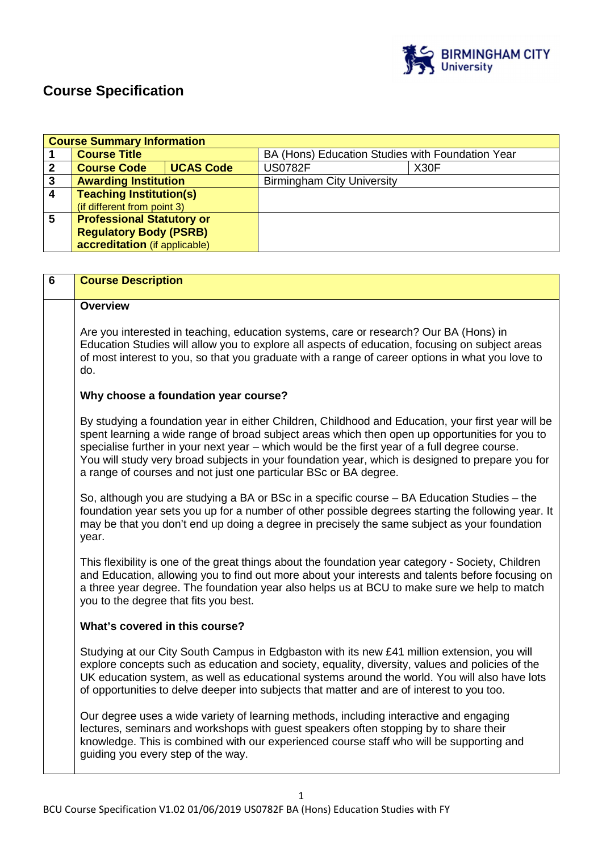

# **Course Specification**

|   | <b>Course Summary Information</b> |                  |                                                  |      |  |
|---|-----------------------------------|------------------|--------------------------------------------------|------|--|
|   | <b>Course Title</b>               |                  | BA (Hons) Education Studies with Foundation Year |      |  |
|   | <b>Course Code</b>                | <b>UCAS Code</b> | <b>US0782F</b>                                   | X30F |  |
| 3 | <b>Awarding Institution</b>       |                  | <b>Birmingham City University</b>                |      |  |
| 4 | <b>Teaching Institution(s)</b>    |                  |                                                  |      |  |
|   | (if different from point 3)       |                  |                                                  |      |  |
| 5 | <b>Professional Statutory or</b>  |                  |                                                  |      |  |
|   | <b>Regulatory Body (PSRB)</b>     |                  |                                                  |      |  |
|   | accreditation (if applicable)     |                  |                                                  |      |  |

| 6 | <b>Course Description</b>                                                                                                                                                                                                                                                                                                                                                                                                                                                     |
|---|-------------------------------------------------------------------------------------------------------------------------------------------------------------------------------------------------------------------------------------------------------------------------------------------------------------------------------------------------------------------------------------------------------------------------------------------------------------------------------|
|   | <b>Overview</b>                                                                                                                                                                                                                                                                                                                                                                                                                                                               |
|   | Are you interested in teaching, education systems, care or research? Our BA (Hons) in<br>Education Studies will allow you to explore all aspects of education, focusing on subject areas<br>of most interest to you, so that you graduate with a range of career options in what you love to<br>do.                                                                                                                                                                           |
|   | Why choose a foundation year course?                                                                                                                                                                                                                                                                                                                                                                                                                                          |
|   | By studying a foundation year in either Children, Childhood and Education, your first year will be<br>spent learning a wide range of broad subject areas which then open up opportunities for you to<br>specialise further in your next year – which would be the first year of a full degree course.<br>You will study very broad subjects in your foundation year, which is designed to prepare you for<br>a range of courses and not just one particular BSc or BA degree. |
|   | So, although you are studying a BA or BSc in a specific course - BA Education Studies - the<br>foundation year sets you up for a number of other possible degrees starting the following year. It<br>may be that you don't end up doing a degree in precisely the same subject as your foundation<br>year.                                                                                                                                                                    |
|   | This flexibility is one of the great things about the foundation year category - Society, Children<br>and Education, allowing you to find out more about your interests and talents before focusing on<br>a three year degree. The foundation year also helps us at BCU to make sure we help to match<br>you to the degree that fits you best.                                                                                                                                |
|   | What's covered in this course?                                                                                                                                                                                                                                                                                                                                                                                                                                                |
|   | Studying at our City South Campus in Edgbaston with its new £41 million extension, you will<br>explore concepts such as education and society, equality, diversity, values and policies of the<br>UK education system, as well as educational systems around the world. You will also have lots<br>of opportunities to delve deeper into subjects that matter and are of interest to you too.                                                                                 |
|   | Our degree uses a wide variety of learning methods, including interactive and engaging<br>lectures, seminars and workshops with guest speakers often stopping by to share their<br>knowledge. This is combined with our experienced course staff who will be supporting and<br>guiding you every step of the way.                                                                                                                                                             |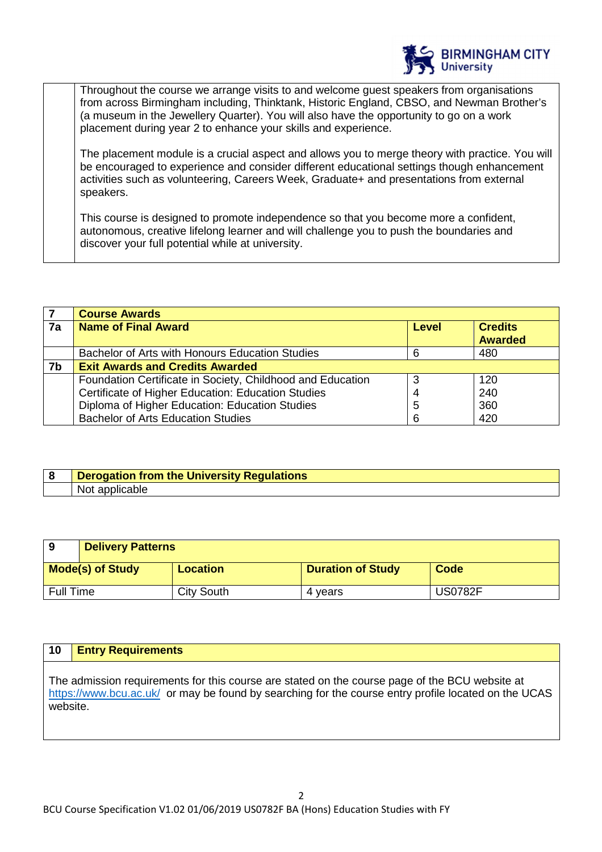

Throughout the course we arrange visits to and welcome guest speakers from organisations from across Birmingham including, Thinktank, Historic England, CBSO, and Newman Brother's (a museum in the Jewellery Quarter). You will also have the opportunity to go on a work placement during year 2 to enhance your skills and experience.

The placement module is a crucial aspect and allows you to merge theory with practice. You will be encouraged to experience and consider different educational settings though enhancement activities such as volunteering, Careers Week, Graduate+ and presentations from external speakers.

This course is designed to promote independence so that you become more a confident, autonomous, creative lifelong learner and will challenge you to push the boundaries and discover your full potential while at university.

|                | <b>Course Awards</b>                                       |              |                                  |
|----------------|------------------------------------------------------------|--------------|----------------------------------|
| 7a             | <b>Name of Final Award</b>                                 | <b>Level</b> | <b>Credits</b><br><b>Awarded</b> |
|                | Bachelor of Arts with Honours Education Studies            | 6            | 480                              |
| 7 <sub>b</sub> | <b>Exit Awards and Credits Awarded</b>                     |              |                                  |
|                |                                                            |              |                                  |
|                | Foundation Certificate in Society, Childhood and Education |              | 120                              |
|                | Certificate of Higher Education: Education Studies         |              | 240                              |
|                | Diploma of Higher Education: Education Studies             | 5            | 360                              |
|                | <b>Bachelor of Arts Education Studies</b>                  | 6            | 420                              |

| <b>Derogation from the University Regulations</b> |
|---------------------------------------------------|
| <b>Not</b><br>applicable                          |

| 9                       | <b>Delivery Patterns</b> |                   |                          |                |
|-------------------------|--------------------------|-------------------|--------------------------|----------------|
| <b>Mode(s) of Study</b> |                          | <b>Location</b>   | <b>Duration of Study</b> | <b>Code</b>    |
| <b>Full Time</b>        |                          | <b>City South</b> | 4 vears                  | <b>US0782F</b> |

## **10 Entry Requirements**

The admission requirements for this course are stated on the course page of the BCU website at https://www.bcu.ac.uk/ or may be found by searching for the course entry profile located on the UCAS website.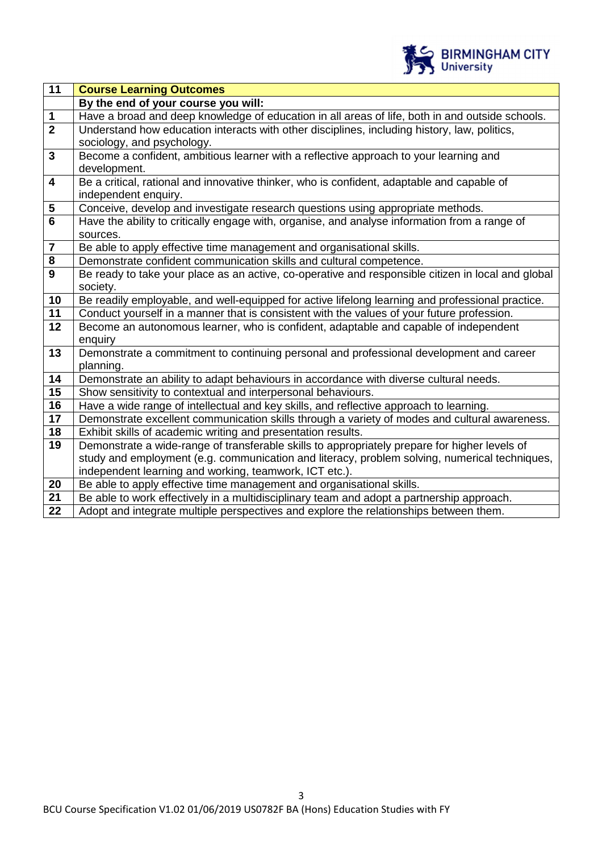

| $\overline{11}$         | <b>Course Learning Outcomes</b>                                                                                                                         |
|-------------------------|---------------------------------------------------------------------------------------------------------------------------------------------------------|
|                         | By the end of your course you will:                                                                                                                     |
| $\mathbf{1}$            | Have a broad and deep knowledge of education in all areas of life, both in and outside schools.                                                         |
| $\overline{2}$          | Understand how education interacts with other disciplines, including history, law, politics,                                                            |
|                         | sociology, and psychology.                                                                                                                              |
| $\mathbf{3}$            | Become a confident, ambitious learner with a reflective approach to your learning and                                                                   |
|                         | development.                                                                                                                                            |
| $\overline{\mathbf{4}}$ | Be a critical, rational and innovative thinker, who is confident, adaptable and capable of                                                              |
|                         | independent enquiry.                                                                                                                                    |
| $\overline{\mathbf{5}}$ | Conceive, develop and investigate research questions using appropriate methods.                                                                         |
| $6\phantom{1}6$         | Have the ability to critically engage with, organise, and analyse information from a range of                                                           |
|                         | sources.                                                                                                                                                |
| 7                       | Be able to apply effective time management and organisational skills.                                                                                   |
| $\overline{\mathbf{8}}$ | Demonstrate confident communication skills and cultural competence.                                                                                     |
| 9                       | Be ready to take your place as an active, co-operative and responsible citizen in local and global                                                      |
|                         | society.                                                                                                                                                |
| 10                      | Be readily employable, and well-equipped for active lifelong learning and professional practice.                                                        |
| 11                      | Conduct yourself in a manner that is consistent with the values of your future profession.                                                              |
| 12                      | Become an autonomous learner, who is confident, adaptable and capable of independent                                                                    |
|                         | enquiry                                                                                                                                                 |
| $\overline{13}$         | Demonstrate a commitment to continuing personal and professional development and career                                                                 |
|                         | planning.                                                                                                                                               |
| 14                      | Demonstrate an ability to adapt behaviours in accordance with diverse cultural needs.                                                                   |
| $\overline{15}$         | Show sensitivity to contextual and interpersonal behaviours.                                                                                            |
| 16<br>$\overline{17}$   | Have a wide range of intellectual and key skills, and reflective approach to learning.                                                                  |
| $\overline{18}$         | Demonstrate excellent communication skills through a variety of modes and cultural awareness.                                                           |
| 19                      | Exhibit skills of academic writing and presentation results.                                                                                            |
|                         | Demonstrate a wide-range of transferable skills to appropriately prepare for higher levels of                                                           |
|                         | study and employment (e.g. communication and literacy, problem solving, numerical techniques,<br>independent learning and working, teamwork, ICT etc.). |
| 20                      | Be able to apply effective time management and organisational skills.                                                                                   |
| 21                      | Be able to work effectively in a multidisciplinary team and adopt a partnership approach.                                                               |
| 22                      | Adopt and integrate multiple perspectives and explore the relationships between them.                                                                   |
|                         |                                                                                                                                                         |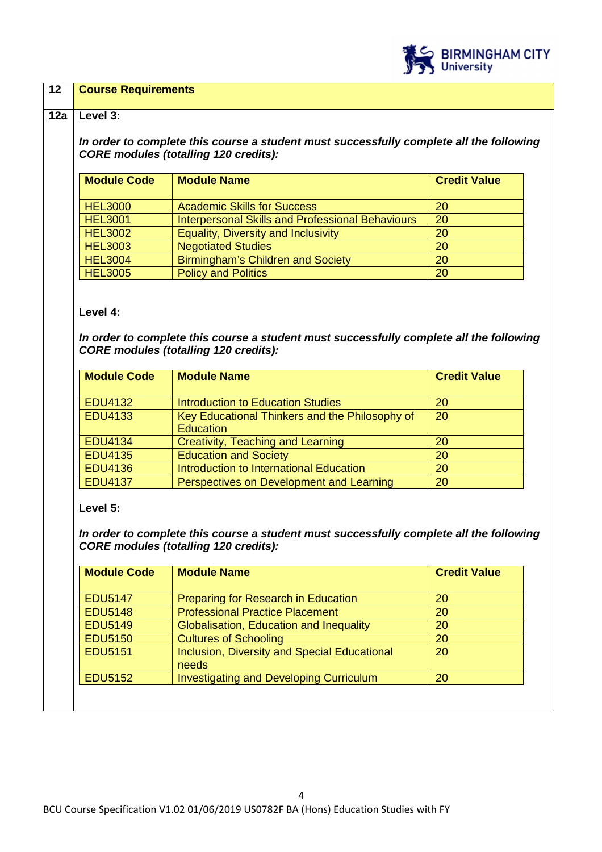

### **12 Course Requirements**

#### **12a Level 3:**

**In order to complete this course a student must successfully complete all the following CORE modules (totalling 120 credits):**

| <b>Module Code</b> | <b>Module Name</b>                                      | <b>Credit Value</b> |
|--------------------|---------------------------------------------------------|---------------------|
| <b>HEL3000</b>     | <b>Academic Skills for Success</b>                      | 20                  |
| <b>HEL3001</b>     | <b>Interpersonal Skills and Professional Behaviours</b> | 20                  |
| <b>HEL3002</b>     | <b>Equality, Diversity and Inclusivity</b>              | 20                  |
| <b>HEL3003</b>     | <b>Negotiated Studies</b>                               | 20                  |
| <b>HEL3004</b>     | <b>Birmingham's Children and Society</b>                | 20                  |
| <b>HEL3005</b>     | <b>Policy and Politics</b>                              | 20                  |

#### **Level 4:**

**In order to complete this course a student must successfully complete all the following CORE modules (totalling 120 credits):** 

| <b>Module Code</b> | <b>Module Name</b>                                                 | <b>Credit Value</b> |
|--------------------|--------------------------------------------------------------------|---------------------|
| <b>EDU4132</b>     | <b>Introduction to Education Studies</b>                           | 20                  |
| <b>EDU4133</b>     | Key Educational Thinkers and the Philosophy of<br><b>Education</b> | 20                  |
| <b>EDU4134</b>     | Creativity, Teaching and Learning                                  | 20                  |
| <b>EDU4135</b>     | <b>Education and Society</b>                                       | 20                  |
| <b>EDU4136</b>     | Introduction to International Education                            | 20                  |
| <b>EDU4137</b>     | Perspectives on Development and Learning                           | 20                  |

## **Level 5:**

**In order to complete this course a student must successfully complete all the following CORE modules (totalling 120 credits):** 

| <b>Module Code</b> | <b>Module Name</b>                                           | <b>Credit Value</b> |
|--------------------|--------------------------------------------------------------|---------------------|
| <b>EDU5147</b>     | Preparing for Research in Education                          | 20                  |
| <b>EDU5148</b>     | <b>Professional Practice Placement</b>                       | 20                  |
| <b>EDU5149</b>     | Globalisation, Education and Inequality                      | 20                  |
| <b>EDU5150</b>     | <b>Cultures of Schooling</b>                                 | 20                  |
| <b>EDU5151</b>     | <b>Inclusion, Diversity and Special Educational</b><br>needs | 20                  |
| <b>EDU5152</b>     | <b>Investigating and Developing Curriculum</b>               | 20                  |
|                    |                                                              |                     |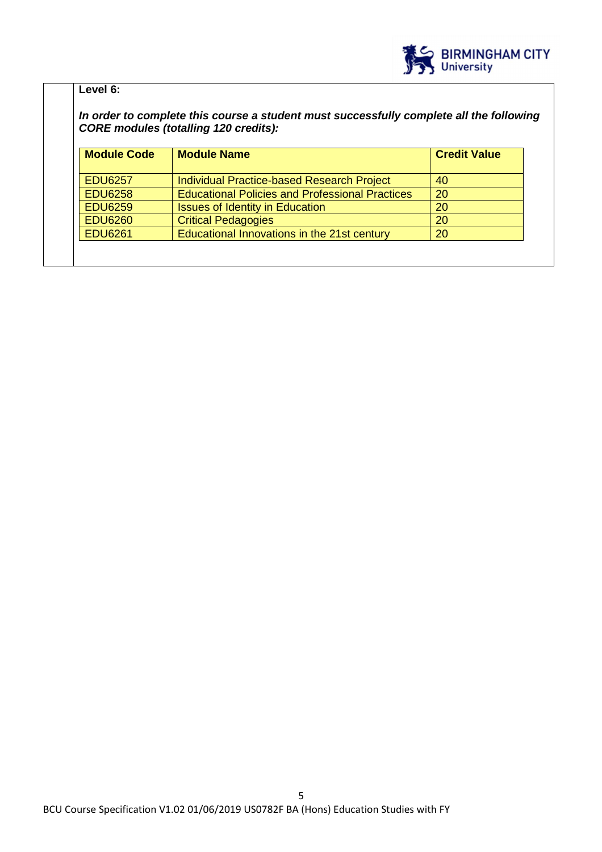

## **Level 6:**

**In order to complete this course a student must successfully complete all the following CORE modules (totalling 120 credits):** 

| <b>Module Code</b> | <b>Module Name</b>                                     | <b>Credit Value</b> |
|--------------------|--------------------------------------------------------|---------------------|
| <b>EDU6257</b>     | <b>Individual Practice-based Research Project</b>      | 40                  |
| <b>EDU6258</b>     | <b>Educational Policies and Professional Practices</b> | 20                  |
| <b>EDU6259</b>     | <b>Issues of Identity in Education</b>                 | 20                  |
| <b>EDU6260</b>     | <b>Critical Pedagogies</b>                             | 20                  |
| <b>EDU6261</b>     | Educational Innovations in the 21st century            | 20                  |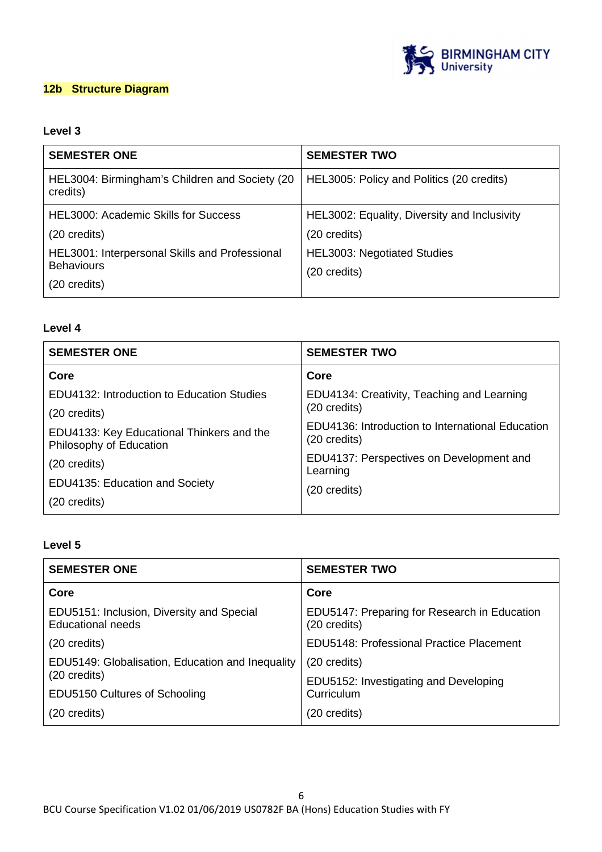

## **12b Structure Diagram**

## **Level 3**

| <b>SEMESTER ONE</b>                                        | <b>SEMESTER TWO</b>                          |
|------------------------------------------------------------|----------------------------------------------|
| HEL3004: Birmingham's Children and Society (20<br>credits) | HEL3005: Policy and Politics (20 credits)    |
| HEL3000: Academic Skills for Success                       | HEL3002: Equality, Diversity and Inclusivity |
| (20 credits)                                               | (20 credits)                                 |
| HEL3001: Interpersonal Skills and Professional             | <b>HEL3003: Negotiated Studies</b>           |
| <b>Behaviours</b>                                          | $(20 \text{ credits})$                       |
| (20 credits)                                               |                                              |

## **Level 4**

| <b>SEMESTER ONE</b>                                                  | <b>SEMESTER TWO</b>                                              |
|----------------------------------------------------------------------|------------------------------------------------------------------|
| Core                                                                 | Core                                                             |
| EDU4132: Introduction to Education Studies                           | EDU4134: Creativity, Teaching and Learning                       |
| (20 credits)                                                         | (20 credits)                                                     |
| EDU4133: Key Educational Thinkers and the<br>Philosophy of Education | EDU4136: Introduction to International Education<br>(20 credits) |
| $(20 \text{ credits})$                                               | EDU4137: Perspectives on Development and<br>Learning             |
| EDU4135: Education and Society                                       | (20 credits)                                                     |
| $(20 \text{ credits})$                                               |                                                                  |

## **Level 5**

| <b>SEMESTER ONE</b>                                            | <b>SEMESTER TWO</b>                                                    |
|----------------------------------------------------------------|------------------------------------------------------------------------|
| Core                                                           | Core                                                                   |
| EDU5151: Inclusion, Diversity and Special<br>Educational needs | EDU5147: Preparing for Research in Education<br>$(20 \text{ credits})$ |
| $(20 \text{ credits})$                                         | EDU5148: Professional Practice Placement                               |
| EDU5149: Globalisation, Education and Inequality               | $(20 \text{ credits})$                                                 |
| (20 credits)                                                   | EDU5152: Investigating and Developing                                  |
| EDU5150 Cultures of Schooling                                  | Curriculum                                                             |
| $(20 \text{ credits})$                                         | (20 credits)                                                           |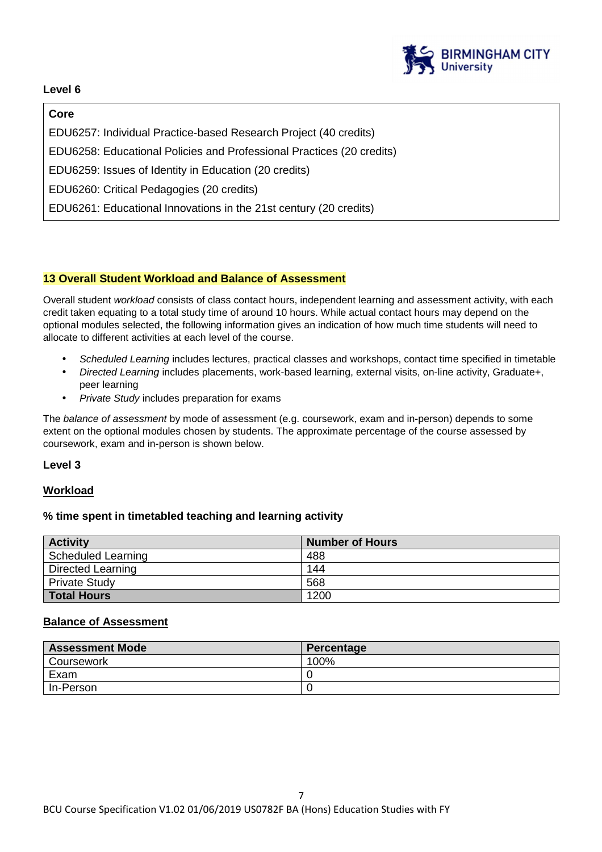

## **Level 6**

### **Core**

EDU6257: Individual Practice-based Research Project (40 credits)

EDU6258: Educational Policies and Professional Practices (20 credits)

EDU6259: Issues of Identity in Education (20 credits)

EDU6260: Critical Pedagogies (20 credits)

EDU6261: Educational Innovations in the 21st century (20 credits)

#### **13 Overall Student Workload and Balance of Assessment**

Overall student workload consists of class contact hours, independent learning and assessment activity, with each credit taken equating to a total study time of around 10 hours. While actual contact hours may depend on the optional modules selected, the following information gives an indication of how much time students will need to allocate to different activities at each level of the course.

- Scheduled Learning includes lectures, practical classes and workshops, contact time specified in timetable
- Directed Learning includes placements, work-based learning, external visits, on-line activity, Graduate+, peer learning
- Private Study includes preparation for exams

The balance of assessment by mode of assessment (e.g. coursework, exam and in-person) depends to some extent on the optional modules chosen by students. The approximate percentage of the course assessed by coursework, exam and in-person is shown below.

#### **Level 3**

#### **Workload**

#### **% time spent in timetabled teaching and learning activity**

| <b>Activity</b>          | <b>Number of Hours</b> |
|--------------------------|------------------------|
| Scheduled Learning       | 488                    |
| <b>Directed Learning</b> | 144                    |
| <b>Private Study</b>     | 568                    |
| <b>Total Hours</b>       | 1200                   |

#### **Balance of Assessment**

| <b>Assessment Mode</b> | Percentage |
|------------------------|------------|
| Coursework             | 100%       |
| Exam                   |            |
| In-Person              |            |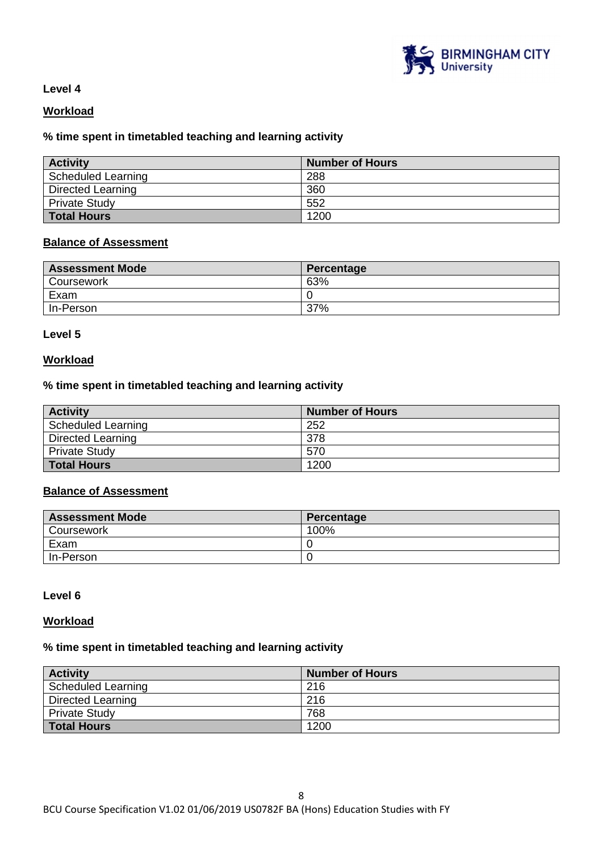

#### **Level 4**

### **Workload**

#### **% time spent in timetabled teaching and learning activity**

| <b>Activity</b>           | <b>Number of Hours</b> |
|---------------------------|------------------------|
| <b>Scheduled Learning</b> | 288                    |
| <b>Directed Learning</b>  | 360                    |
| <b>Private Study</b>      | 552                    |
| <b>Total Hours</b>        | 1200                   |

### **Balance of Assessment**

| <b>Assessment Mode</b> | Percentage |
|------------------------|------------|
| Coursework             | 63%        |
| Exam                   |            |
| In-Person              | 37%        |

#### **Level 5**

#### **Workload**

#### **% time spent in timetabled teaching and learning activity**

| <b>Activity</b>          | <b>Number of Hours</b> |
|--------------------------|------------------------|
| Scheduled Learning       | 252                    |
| <b>Directed Learning</b> | 378                    |
| <b>Private Study</b>     | 570                    |
| <b>Total Hours</b>       | 1200                   |

#### **Balance of Assessment**

| <b>Assessment Mode</b> | Percentage |
|------------------------|------------|
| Coursework             | 100%       |
| Exam                   |            |
| In-Person              |            |

#### **Level 6**

#### **Workload**

# **% time spent in timetabled teaching and learning activity**

| <b>Activity</b>      | <b>Number of Hours</b> |
|----------------------|------------------------|
| Scheduled Learning   | 216                    |
| Directed Learning    | 216                    |
| <b>Private Study</b> | 768                    |
| <b>Total Hours</b>   | 1200                   |